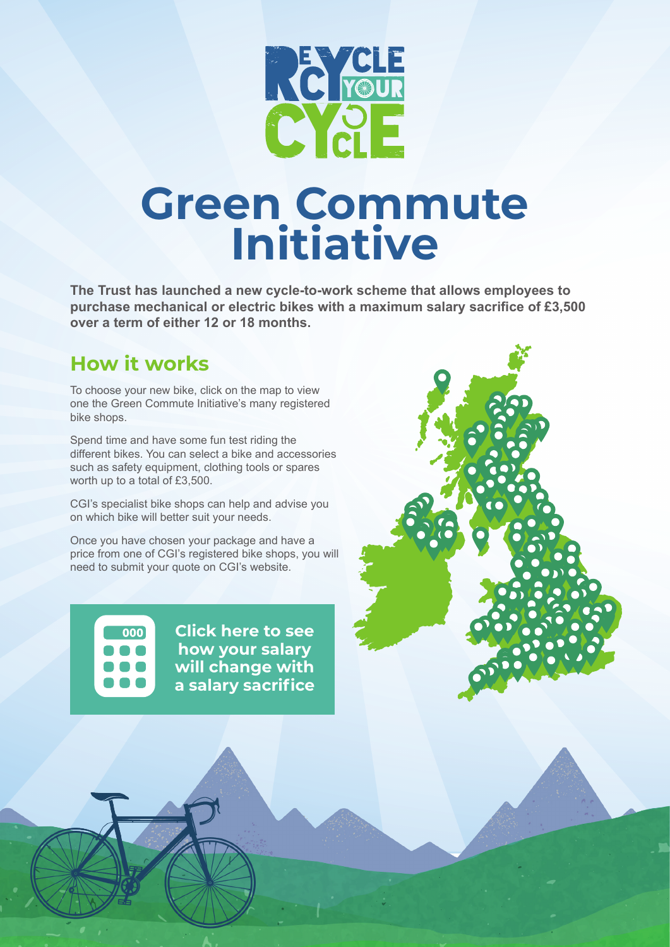

# **Green Commute Initiative**

**The Trust has launched a new cycle-to-work scheme that allows employees to purchase mechanical or electric bikes with a maximum salary sacrifice of £3,500 over a term of either 12 or 18 months.**

#### **How it works**

To choose your new bike, click on the map to view one the Green Commute Initiative's many registered bike shops.

Spend time and have some fun test riding the different bikes. You can select a bike and accessories such as safety equipment, clothing tools or spares worth up to a total of £3,500.

CGI's specialist bike shops can help and advise you on which bike will better suit your needs.

Once you have chosen your package and have a price from one of CGI's registered bike shops, you will need to submit your quote on CGI's website.

 $000$ 

**Click here to see how your salary [will change with](https://www.greencommuteinitiative.uk/savings/)  a salary sacrifice**